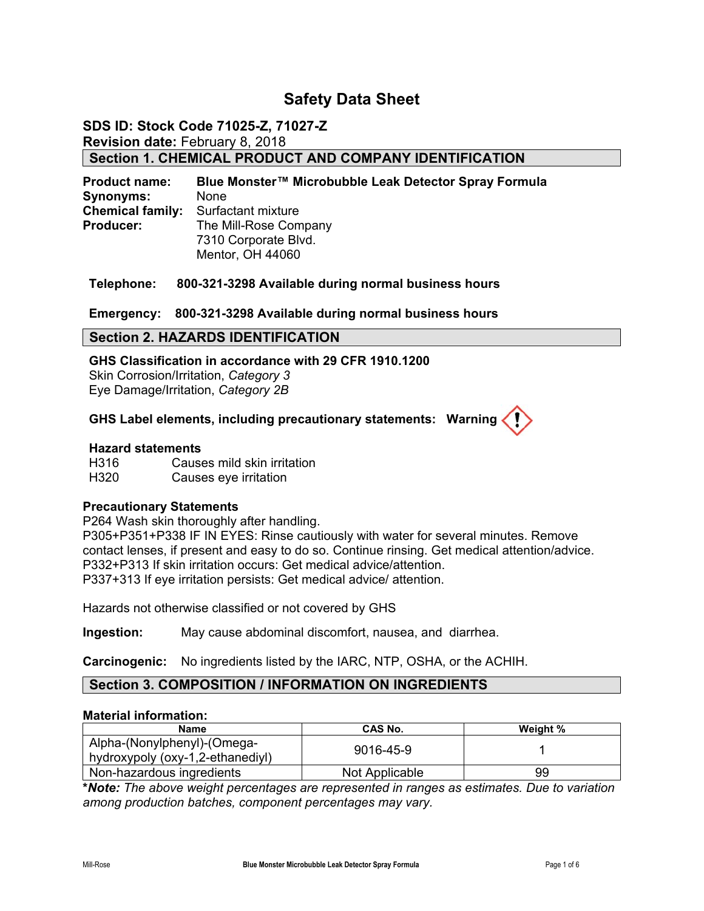# **Safety Data Sheet**

# **SDS ID: Stock Code 71025-Z, 71027-Z Revision date:** February 8, 2018 **Section 1. CHEMICAL PRODUCT AND COMPANY IDENTIFICATION**

**Product name: Blue Monster™ Microbubble Leak Detector Spray Formula Synonyms:** None **Chemical family:** Surfactant mixture **Producer:** The Mill-Rose Company 7310 Corporate Blvd. Mentor, OH 44060

**Telephone: 800-321-3298 Available during normal business hours** 

#### **Emergency: 800-321-3298 Available during normal business hours**

#### **Section 2. HAZARDS IDENTIFICATION**

**GHS Classification in accordance with 29 CFR 1910.1200**  Skin Corrosion/Irritation, *Category 3* Eye Damage/Irritation, *Category 2B*

#### **GHS Label elements, including precautionary statements: Warning**

#### **Hazard statements**

H316 Causes mild skin irritation H320 Causes eye irritation

#### **Precautionary Statements**

P264 Wash skin thoroughly after handling.

P305+P351+P338 IF IN EYES: Rinse cautiously with water for several minutes. Remove contact lenses, if present and easy to do so. Continue rinsing. Get medical attention/advice. P332+P313 If skin irritation occurs: Get medical advice/attention. P337+313 If eye irritation persists: Get medical advice/ attention.

Hazards not otherwise classified or not covered by GHS

**Ingestion:** May cause abdominal discomfort, nausea, and diarrhea.

**Carcinogenic:** No ingredients listed by the IARC, NTP, OSHA, or the ACHIH.

#### **Section 3. COMPOSITION / INFORMATION ON INGREDIENTS**

#### **Material information:**

| Name                                                            | <b>CAS No.</b> | Weight % |
|-----------------------------------------------------------------|----------------|----------|
| Alpha-(Nonylphenyl)-(Omega-<br>hydroxypoly (oxy-1,2-ethanediyl) | 9016-45-9      |          |
| Non-hazardous ingredients                                       | Not Applicable | 99       |

**\****Note: The above weight percentages are represented in ranges as estimates. Due to variation among production batches, component percentages may vary.*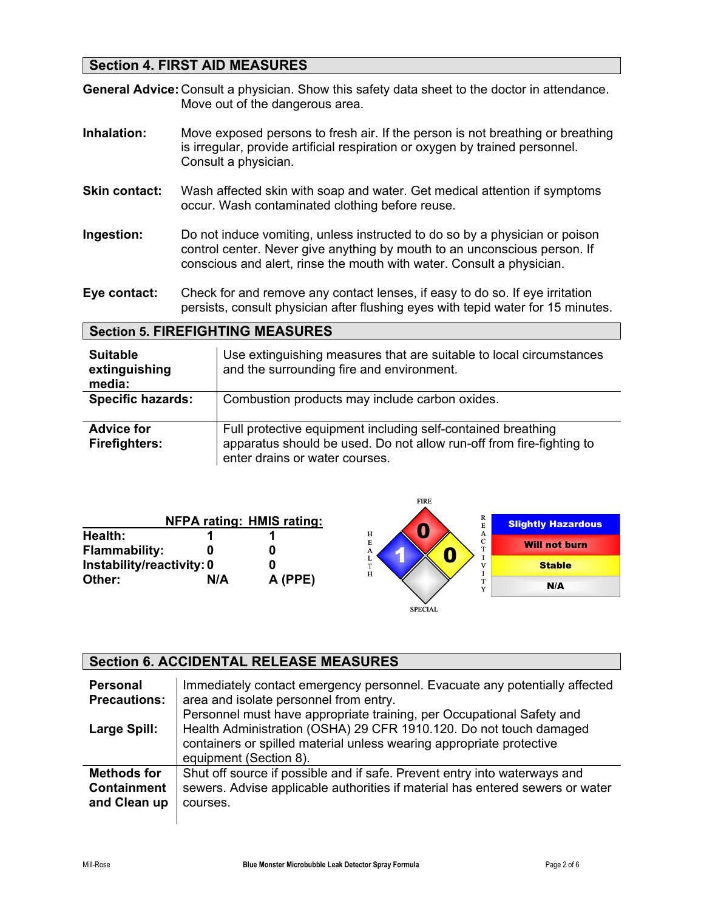# **Section 4. FIRST AID MEASURES**

**General Advice:** Consult a physician. Show this safety data sheet to the doctor in attendance. Move out of the dangerous area.

- **Inhalation:** Move exposed persons to fresh air. If the person is not breathing or breathing is irregular, provide artificial respiration or oxygen by trained personnel. Consult a physician.
- **Skin contact:** Wash affected skin with soap and water. Get medical attention if symptoms occur. Wash contaminated clothing before reuse.
- **Ingestion:** Do not induce vomiting, unless instructed to do so by a physician or poison control center. Never give anything by mouth to an unconscious person. If conscious and alert, rinse the mouth with water. Consult a physician.
- **Eye contact:** Check for and remove any contact lenses, if easy to do so. If eye irritation persists, consult physician after flushing eyes with tepid water for 15 minutes.

#### **Section 5. FIREFIGHTING MEASURES**

| <b>Suitable</b><br>extinguishing<br>media: | Use extinguishing measures that are suitable to local circumstances<br>and the surrounding fire and environment.                                                       |
|--------------------------------------------|------------------------------------------------------------------------------------------------------------------------------------------------------------------------|
| <b>Specific hazards:</b>                   | Combustion products may include carbon oxides.                                                                                                                         |
| <b>Advice for</b><br><b>Firefighters:</b>  | Full protective equipment including self-contained breathing<br>apparatus should be used. Do not allow run-off from fire-fighting to<br>enter drains or water courses. |

|                                 |     |                                  | FIKE                                     |                           |
|---------------------------------|-----|----------------------------------|------------------------------------------|---------------------------|
|                                 |     | <b>NFPA rating: HMIS rating:</b> | R<br>E                                   | <b>Slightly Hazardous</b> |
| Health:<br><b>Flammability:</b> |     |                                  | н<br>A<br>$\sqrt{2}$<br>E<br>U<br>m<br>A | <b>Will not burn</b>      |
| Instability/reactivity: 0       |     |                                  | œ.<br>H                                  | <b>Stable</b>             |
| Other:                          | N/A | A (PPE)                          | $\mathbf{v}$                             | N/A                       |
|                                 |     |                                  | <b>SPECIAL</b>                           |                           |

FIRE

#### **Section 6. ACCIDENTAL RELEASE MEASURES Personal Precautions: Large Spill:**  Immediately contact emergency personnel. Evacuate any potentially affected area and isolate personnel from entry. Personnel must have appropriate training, per Occupational Safety and Health Administration (OSHA) 29 CFR 1910.120. Do not touch damaged containers or spilled material unless wearing appropriate protective equipment (Section 8). **Methods for Containment and Clean up**  Shut off source if possible and if safe. Prevent entry into waterways and sewers. Advise applicable authorities if material has entered sewers or water courses.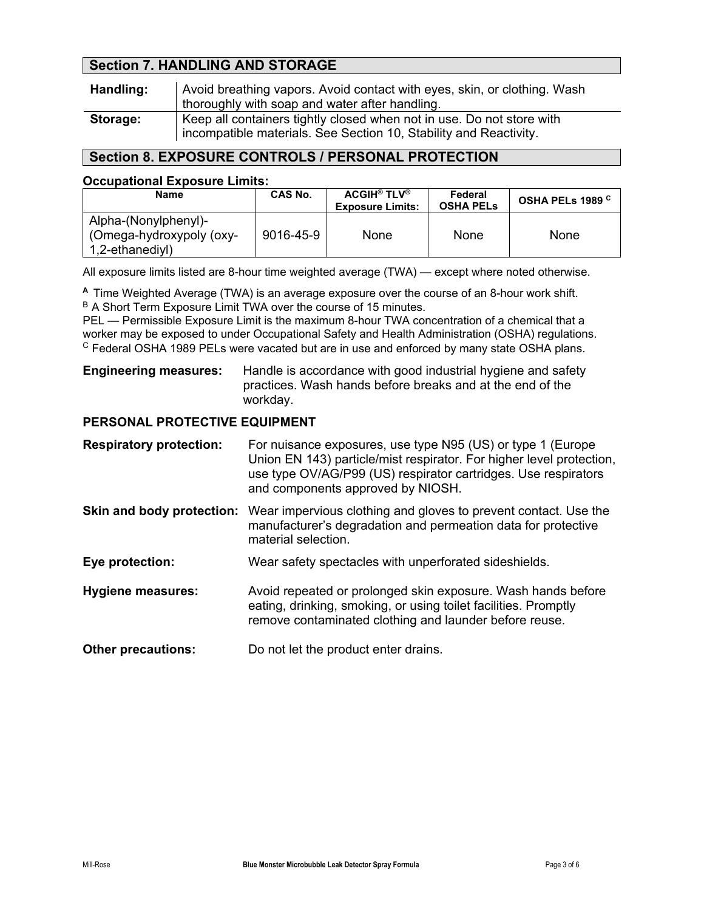# **Section 7. HANDLING AND STORAGE**

| Handling: | Avoid breathing vapors. Avoid contact with eyes, skin, or clothing. Wash<br>thoroughly with soap and water after handling.                 |
|-----------|--------------------------------------------------------------------------------------------------------------------------------------------|
| Storage:  | Keep all containers tightly closed when not in use. Do not store with<br>incompatible materials. See Section 10, Stability and Reactivity. |

# **Section 8. EXPOSURE CONTROLS / PERSONAL PROTECTION**

#### **Occupational Exposure Limits:**

| Name                                                                | CAS No.   | <b>ACGIH® TLV®</b><br><b>Exposure Limits:</b> | Federal<br><b>OSHA PELS</b> | OSHA PELs 1989 <sup>C</sup> |
|---------------------------------------------------------------------|-----------|-----------------------------------------------|-----------------------------|-----------------------------|
| Alpha-(Nonylphenyl)-<br>(Omega-hydroxypoly (oxy-<br>1,2-ethanediyl) | 9016-45-9 | None                                          | None                        | None                        |

All exposure limits listed are 8-hour time weighted average (TWA) — except where noted otherwise.

**<sup>A</sup>**Time Weighted Average (TWA) is an average exposure over the course of an 8-hour work shift. B A Short Term Exposure Limit TWA over the course of 15 minutes.

PEL — Permissible Exposure Limit is the maximum 8-hour TWA concentration of a chemical that a worker may be exposed to under Occupational Safety and Health Administration (OSHA) regulations. <sup>C</sup> Federal OSHA 1989 PELs were vacated but are in use and enforced by many state OSHA plans.

### **Engineering measures:** Handle is accordance with good industrial hygiene and safety practices. Wash hands before breaks and at the end of the workday.

## **PERSONAL PROTECTIVE EQUIPMENT**

| <b>Respiratory protection:</b> | For nuisance exposures, use type N95 (US) or type 1 (Europe<br>Union EN 143) particle/mist respirator. For higher level protection,<br>use type OV/AG/P99 (US) respirator cartridges. Use respirators<br>and components approved by NIOSH. |
|--------------------------------|--------------------------------------------------------------------------------------------------------------------------------------------------------------------------------------------------------------------------------------------|
| Skin and body protection:      | Wear impervious clothing and gloves to prevent contact. Use the<br>manufacturer's degradation and permeation data for protective<br>material selection.                                                                                    |
| Eye protection:                | Wear safety spectacles with unperforated sideshields.                                                                                                                                                                                      |
| <b>Hygiene measures:</b>       | Avoid repeated or prolonged skin exposure. Wash hands before<br>eating, drinking, smoking, or using toilet facilities. Promptly<br>remove contaminated clothing and launder before reuse.                                                  |
| <b>Other precautions:</b>      | Do not let the product enter drains.                                                                                                                                                                                                       |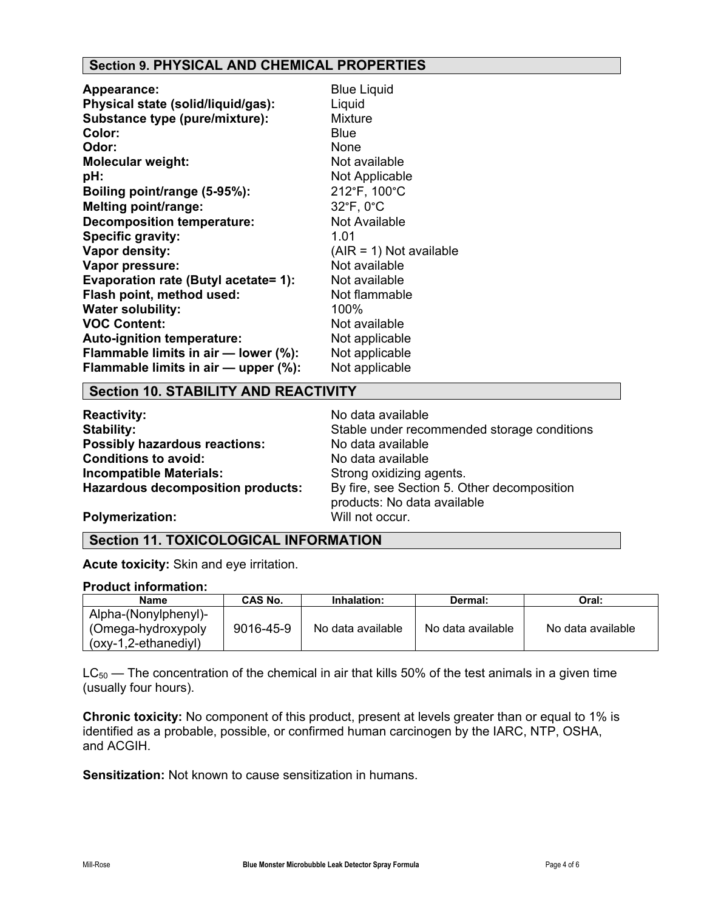# **Section 9. PHYSICAL AND CHEMICAL PROPERTIES**

| <b>Appearance:</b>                   | <b>Blue Liquid</b>        |
|--------------------------------------|---------------------------|
| Physical state (solid/liquid/gas):   | Liquid                    |
| Substance type (pure/mixture):       | <b>Mixture</b>            |
| Color:                               | <b>Blue</b>               |
| Odor:                                | None                      |
| <b>Molecular weight:</b>             | Not available             |
| pH:                                  | Not Applicable            |
| Boiling point/range (5-95%):         | 212°F, 100°C              |
| <b>Melting point/range:</b>          | 32°F, 0°C                 |
| <b>Decomposition temperature:</b>    | Not Available             |
| Specific gravity:                    | 1.01                      |
| Vapor density:                       | $(AIR = 1)$ Not available |
| Vapor pressure:                      | Not available             |
| Evaporation rate (Butyl acetate= 1): | Not available             |
| Flash point, method used:            | Not flammable             |
| <b>Water solubility:</b>             | 100%                      |
| <b>VOC Content:</b>                  | Not available             |
| Auto-ignition temperature:           | Not applicable            |
| Flammable limits in air - lower (%): | Not applicable            |
| Flammable limits in air - upper (%): | Not applicable            |

#### **Section 10. STABILITY AND REACTIVITY**

**Reactivity:** No data available **Possibly hazardous reactions:** No data available **Conditions to avoid:** No data available **Incompatible Materials:** Strong oxidizing agents.<br>**Hazardous decomposition products:** By fire, see Section 5. O

**Stability:** Stable under recommended storage conditions By fire, see Section 5. Other decomposition products: No data available

**Polymerization:** Will not occur.

## **Section 11. TOXICOLOGICAL INFORMATION**

**Acute toxicity:** Skin and eye irritation.

#### **Product information:**

| Name                  | CAS No.   | Inhalation:       | Dermal:           | Oral:             |
|-----------------------|-----------|-------------------|-------------------|-------------------|
| Alpha-(Nonylphenyl)-  |           |                   |                   |                   |
| (Omega-hydroxypoly)   | 9016-45-9 | No data available | No data available | No data available |
| $(0xy-1,2-ethanediy)$ |           |                   |                   |                   |

 $LC_{50}$  — The concentration of the chemical in air that kills 50% of the test animals in a given time (usually four hours).

**Chronic toxicity:** No component of this product, present at levels greater than or equal to 1% is identified as a probable, possible, or confirmed human carcinogen by the IARC, NTP, OSHA, and ACGIH.

**Sensitization:** Not known to cause sensitization in humans.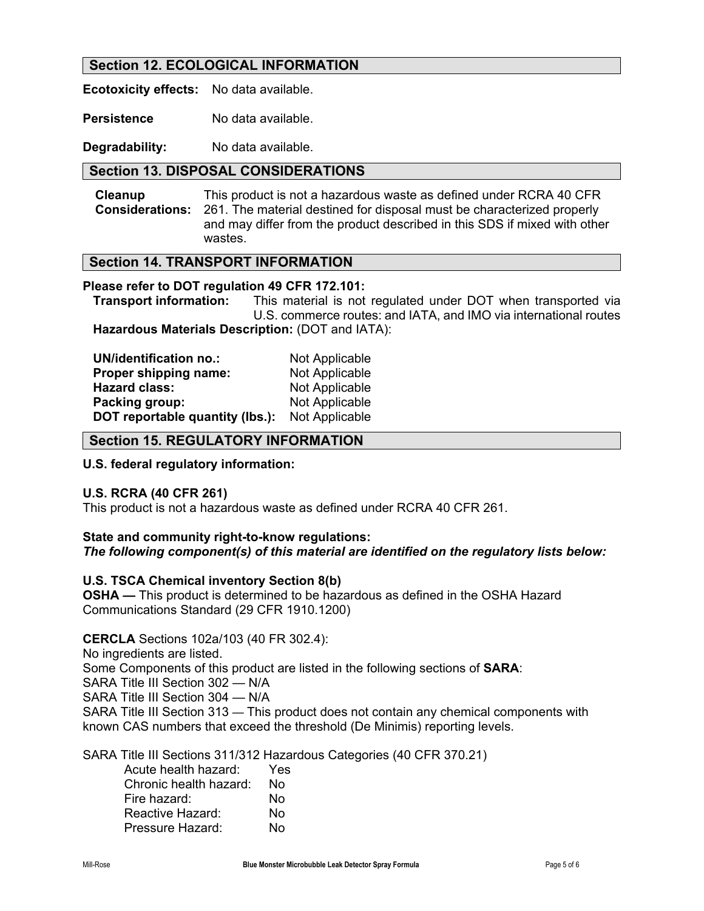## **Section 12. ECOLOGICAL INFORMATION**

**Ecotoxicity effects:** No data available.

**Persistence** No data available.

**Degradability:** No data available.

## **Section 13. DISPOSAL CONSIDERATIONS**

**Cleanup Considerations:**  This product is not a hazardous waste as defined under RCRA 40 CFR 261. The material destined for disposal must be characterized properly and may differ from the product described in this SDS if mixed with other wastes.

## **Section 14. TRANSPORT INFORMATION**

#### **Please refer to DOT regulation 49 CFR 172.101:**

 **Transport information:** This material is not regulated under DOT when transported via U.S. commerce routes: and IATA, and IMO via international routes **Hazardous Materials Description:** (DOT and IATA):

| <b>UN/identification no.:</b>   | Not Applicable |
|---------------------------------|----------------|
| Proper shipping name:           | Not Applicable |
| <b>Hazard class:</b>            | Not Applicable |
| Packing group:                  | Not Applicable |
| DOT reportable quantity (lbs.): | Not Applicable |

## **Section 15. REGULATORY INFORMATION**

#### **U.S. federal regulatory information:**

#### **U.S. RCRA (40 CFR 261)**

This product is not a hazardous waste as defined under RCRA 40 CFR 261.

# **State and community right-to-know regulations:**

### *The following component(s) of this material are identified on the regulatory lists below:*

#### **U.S. TSCA Chemical inventory Section 8(b)**

**OSHA —** This product is determined to be hazardous as defined in the OSHA Hazard Communications Standard (29 CFR 1910.1200)

**CERCLA** Sections 102a/103 (40 FR 302.4): No ingredients are listed. Some Components of this product are listed in the following sections of **SARA**: SARA Title III Section 302 — N/A SARA Title III Section 304 — N/A SARA Title III Section 313 — This product does not contain any chemical components with known CAS numbers that exceed the threshold (De Minimis) reporting levels.

SARA Title III Sections 311/312 Hazardous Categories (40 CFR 370.21)

| Acute health hazard:   | Yes |
|------------------------|-----|
| Chronic health hazard: | No  |
| Fire hazard:           | N٥  |
| Reactive Hazard:       | No  |
| Pressure Hazard:       | N٥  |
|                        |     |